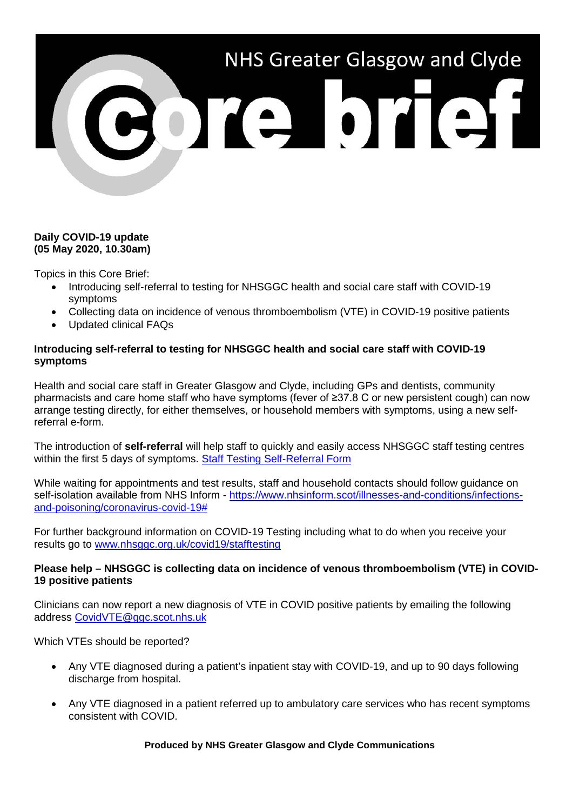

## **Daily COVID-19 update (05 May 2020, 10.30am)**

Topics in this Core Brief:

- Introducing self-referral to testing for NHSGGC health and social care staff with COVID-19 symptoms
- Collecting data on incidence of venous thromboembolism (VTE) in COVID-19 positive patients
- Updated clinical FAQs

# **Introducing self-referral to testing for NHSGGC health and social care staff with COVID-19 symptoms**

Health and social care staff in Greater Glasgow and Clyde, including GPs and dentists, community pharmacists and care home staff who have symptoms (fever of ≥37.8 C or new persistent cough) can now arrange testing directly, for either themselves, or household members with symptoms, using a new selfreferral e-form.

The introduction of **self-referral** will help staff to quickly and easily access NHSGGC staff testing centres within the first 5 days of symptoms. [Staff Testing Self-Referral Form](https://forms.office.com/Pages/ResponsePage.aspx?id=veDvEDCgykuAnLXmdF5JmgW9YoY5w-BDlHK7ghonYUBUN0Q0NjJDQkNSV1VHRFlWVjFDMjc1V0VaOSQlQCN0PWcu)

While waiting for appointments and test results, staff and household contacts should follow guidance on self-isolation available from NHS Inform - [https://www.nhsinform.scot/illnesses-and-conditions/infections](https://www.nhsinform.scot/illnesses-and-conditions/infections-and-poisoning/coronavirus-covid-19)[and-poisoning/coronavirus-covid-19#](https://www.nhsinform.scot/illnesses-and-conditions/infections-and-poisoning/coronavirus-covid-19)

For further background information on COVID-19 Testing including what to do when you receive your results go to [www.nhsggc.org.uk/covid19/stafftesting](http://www.nhsggc.org.uk/covid19/stafftesting)

## **Please help – NHSGGC is collecting data on incidence of venous thromboembolism (VTE) in COVID-19 positive patients**

Clinicians can now report a new diagnosis of VTE in COVID positive patients by emailing the following address [CovidVTE@ggc.scot.nhs.uk](mailto:CovidVTE@ggc.scot.nhs.uk)

## Which VTEs should be reported?

- Any VTE diagnosed during a patient's inpatient stay with COVID-19, and up to 90 days following discharge from hospital.
- Any VTE diagnosed in a patient referred up to ambulatory care services who has recent symptoms consistent with COVID.

**Produced by NHS Greater Glasgow and Clyde Communications**